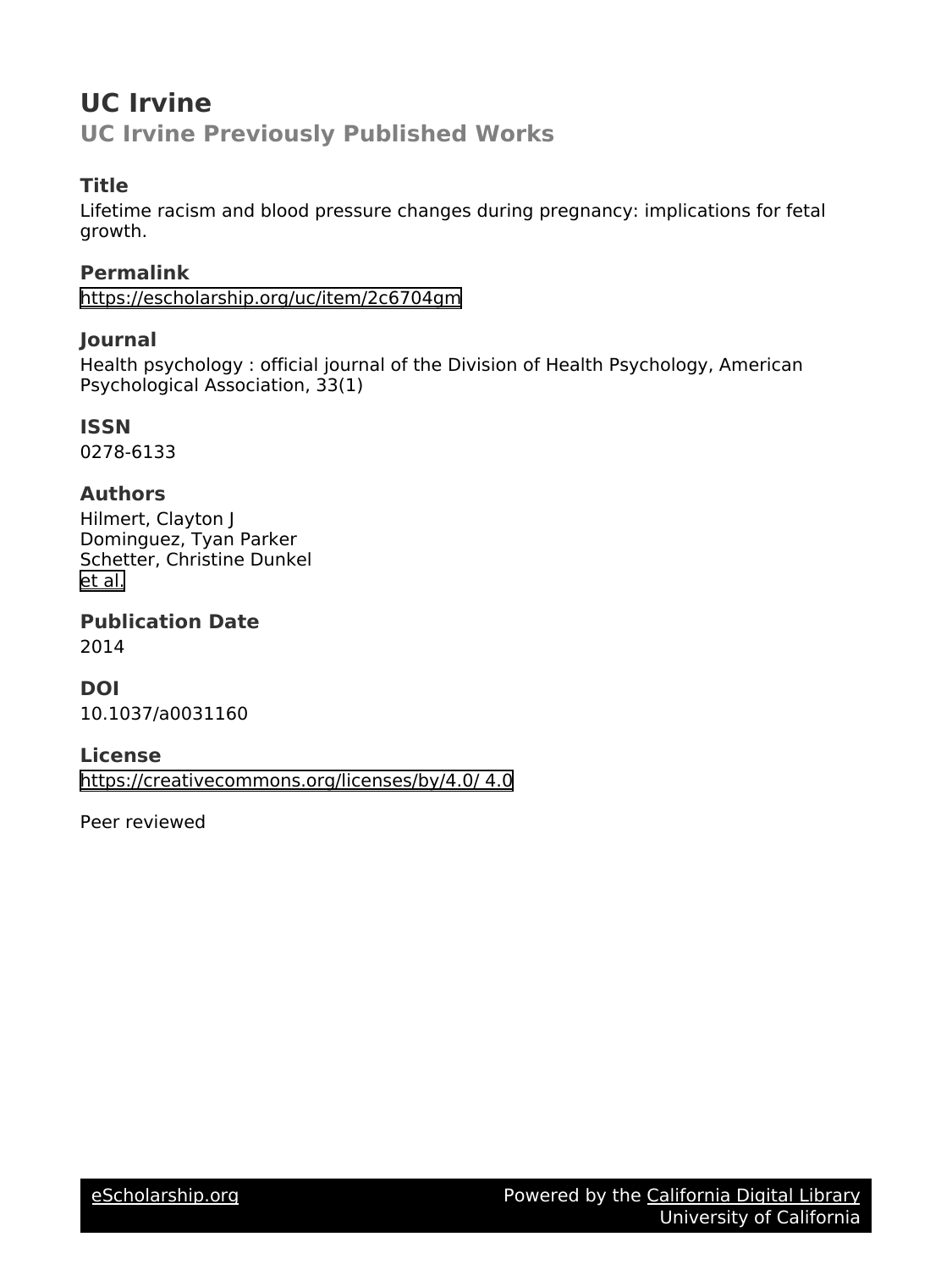# **UC Irvine UC Irvine Previously Published Works**

# **Title**

Lifetime racism and blood pressure changes during pregnancy: implications for fetal growth.

# **Permalink**

<https://escholarship.org/uc/item/2c6704gm>

# **Journal**

Health psychology : official journal of the Division of Health Psychology, American Psychological Association, 33(1)

# **ISSN**

0278-6133

# **Authors**

Hilmert, Clayton J Dominguez, Tyan Parker Schetter, Christine Dunkel [et al.](https://escholarship.org/uc/item/2c6704gm#author)

**Publication Date** 2014

# **DOI**

10.1037/a0031160

# **License**

[https://creativecommons.org/licenses/by/4.0/ 4.0](https://creativecommons.org/licenses/https://creativecommons.org/licenses/by/4.0//4.0)

Peer reviewed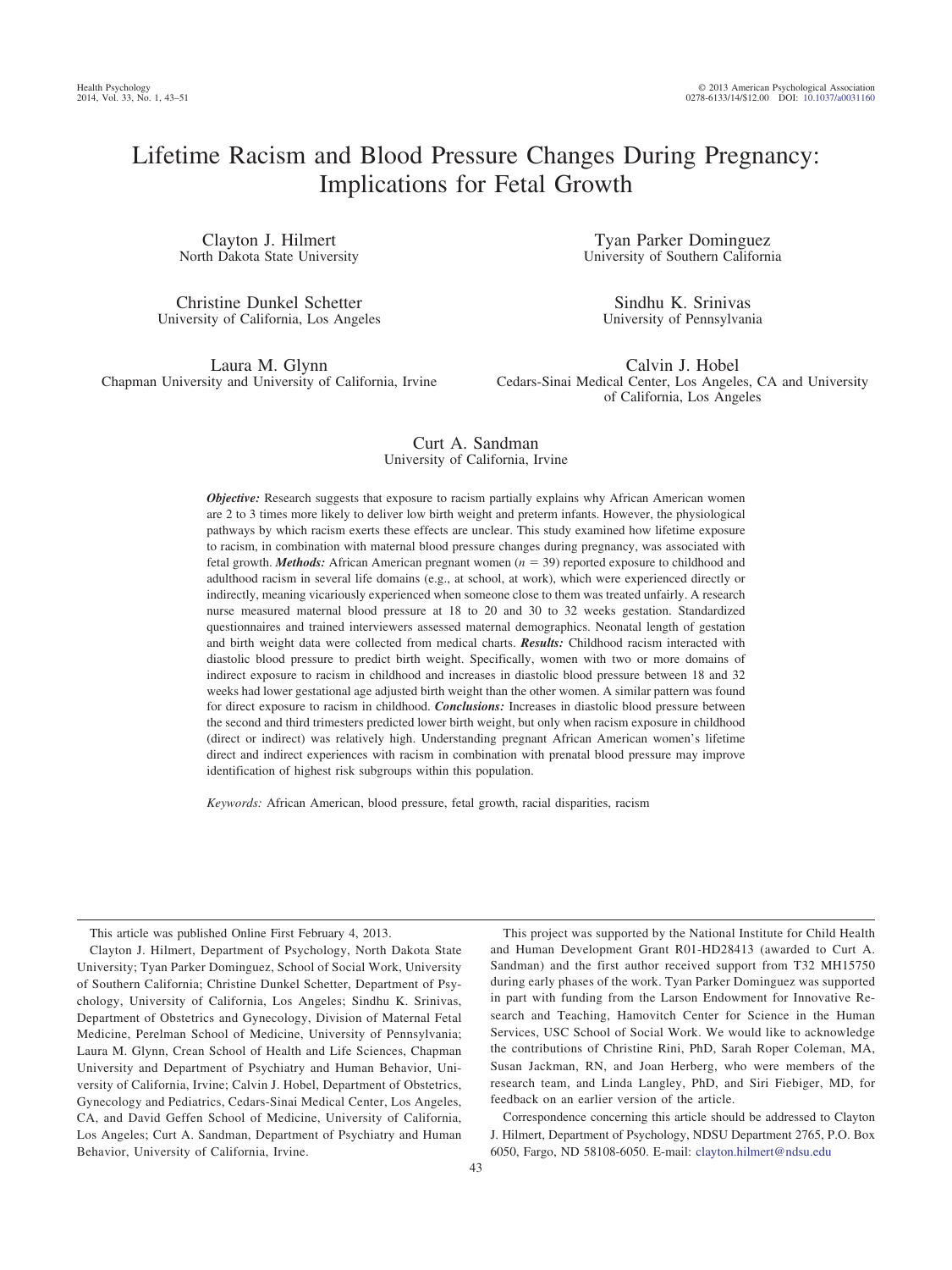# Lifetime Racism and Blood Pressure Changes During Pregnancy: Implications for Fetal Growth

Clayton J. Hilmert North Dakota State University

Christine Dunkel Schetter University of California, Los Angeles

Laura M. Glynn Chapman University and University of California, Irvine

Tyan Parker Dominguez University of Southern California

Sindhu K. Srinivas University of Pennsylvania

Calvin J. Hobel Cedars-Sinai Medical Center, Los Angeles, CA and University of California, Los Angeles

### Curt A. Sandman University of California, Irvine

*Objective:* Research suggests that exposure to racism partially explains why African American women are 2 to 3 times more likely to deliver low birth weight and preterm infants. However, the physiological pathways by which racism exerts these effects are unclear. This study examined how lifetime exposure to racism, in combination with maternal blood pressure changes during pregnancy, was associated with fetal growth. *Methods:* African American pregnant women (*n* 39) reported exposure to childhood and adulthood racism in several life domains (e.g., at school, at work), which were experienced directly or indirectly, meaning vicariously experienced when someone close to them was treated unfairly. A research nurse measured maternal blood pressure at 18 to 20 and 30 to 32 weeks gestation. Standardized questionnaires and trained interviewers assessed maternal demographics. Neonatal length of gestation and birth weight data were collected from medical charts. *Results:* Childhood racism interacted with diastolic blood pressure to predict birth weight. Specifically, women with two or more domains of indirect exposure to racism in childhood and increases in diastolic blood pressure between 18 and 32 weeks had lower gestational age adjusted birth weight than the other women. A similar pattern was found for direct exposure to racism in childhood. *Conclusions:* Increases in diastolic blood pressure between the second and third trimesters predicted lower birth weight, but only when racism exposure in childhood (direct or indirect) was relatively high. Understanding pregnant African American women's lifetime direct and indirect experiences with racism in combination with prenatal blood pressure may improve identification of highest risk subgroups within this population.

*Keywords:* African American, blood pressure, fetal growth, racial disparities, racism

This article was published Online First February 4, 2013.

Clayton J. Hilmert, Department of Psychology, North Dakota State University; Tyan Parker Dominguez, School of Social Work, University of Southern California; Christine Dunkel Schetter, Department of Psychology, University of California, Los Angeles; Sindhu K. Srinivas, Department of Obstetrics and Gynecology, Division of Maternal Fetal Medicine, Perelman School of Medicine, University of Pennsylvania; Laura M. Glynn, Crean School of Health and Life Sciences, Chapman University and Department of Psychiatry and Human Behavior, University of California, Irvine; Calvin J. Hobel, Department of Obstetrics, Gynecology and Pediatrics, Cedars-Sinai Medical Center, Los Angeles, CA, and David Geffen School of Medicine, University of California, Los Angeles; Curt A. Sandman, Department of Psychiatry and Human Behavior, University of California, Irvine.

This project was supported by the National Institute for Child Health and Human Development Grant R01-HD28413 (awarded to Curt A. Sandman) and the first author received support from T32 MH15750 during early phases of the work. Tyan Parker Dominguez was supported in part with funding from the Larson Endowment for Innovative Research and Teaching, Hamovitch Center for Science in the Human Services, USC School of Social Work. We would like to acknowledge the contributions of Christine Rini, PhD, Sarah Roper Coleman, MA, Susan Jackman, RN, and Joan Herberg, who were members of the research team, and Linda Langley, PhD, and Siri Fiebiger, MD, for feedback on an earlier version of the article.

Correspondence concerning this article should be addressed to Clayton J. Hilmert, Department of Psychology, NDSU Department 2765, P.O. Box 6050, Fargo, ND 58108-6050. E-mail: [clayton.hilmert@ndsu.edu](mailto:clayton.hilmert@ndsu.edu)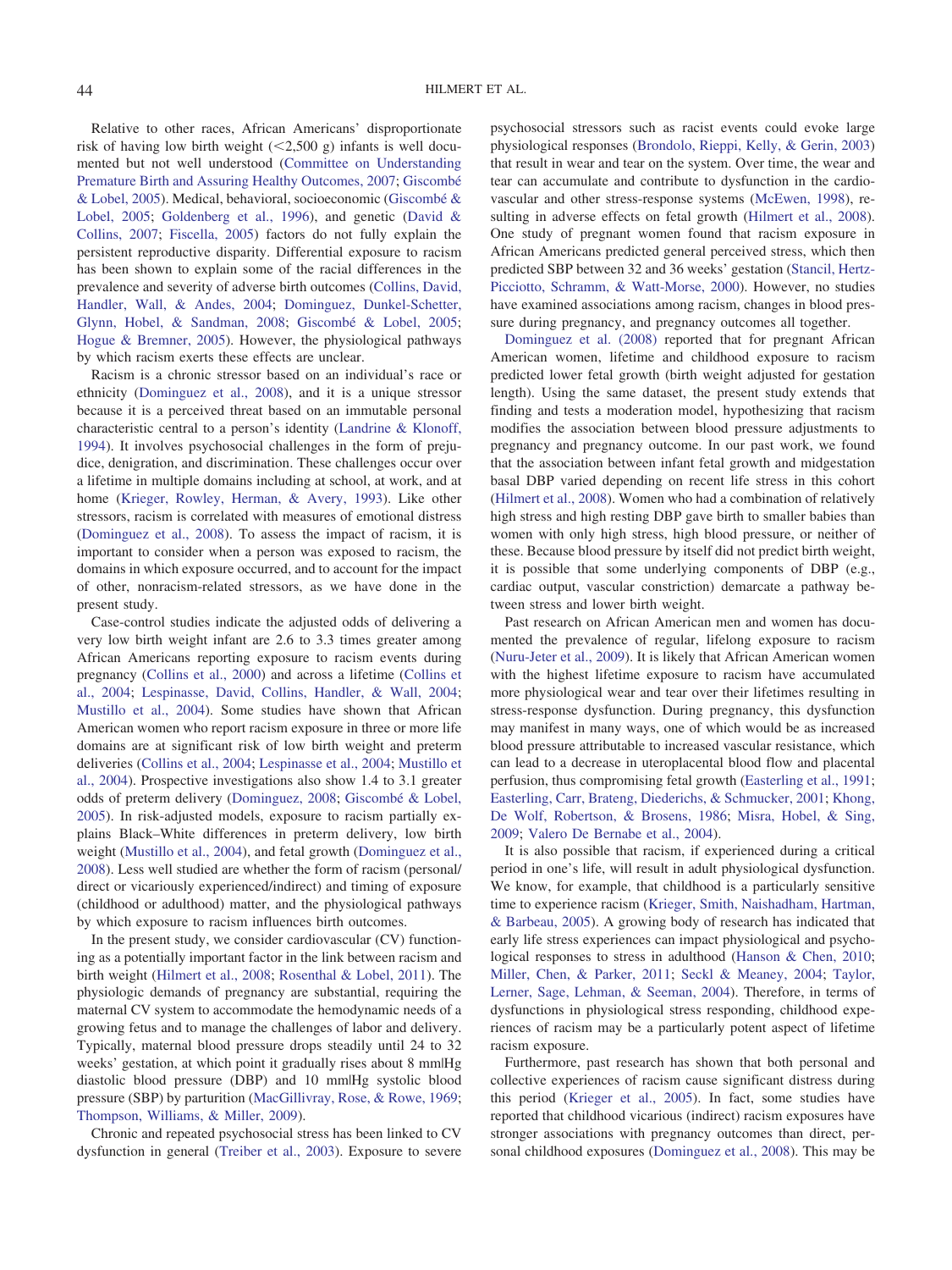Relative to other races, African Americans' disproportionate risk of having low birth weight  $(<2,500$  g) infants is well documented but not well understood [\(Committee on Understanding](#page-7-0) [Premature Birth and Assuring Healthy Outcomes, 2007;](#page-7-0) [Giscombé](#page-8-0) [& Lobel, 2005\)](#page-8-0). Medical, behavioral, socioeconomic [\(Giscombé &](#page-8-0) [Lobel, 2005;](#page-8-0) [Goldenberg et al., 1996\)](#page-8-1), and genetic [\(David &](#page-7-1) [Collins, 2007;](#page-7-1) [Fiscella, 2005\)](#page-8-2) factors do not fully explain the persistent reproductive disparity. Differential exposure to racism has been shown to explain some of the racial differences in the prevalence and severity of adverse birth outcomes [\(Collins, David,](#page-7-2) [Handler, Wall, & Andes, 2004;](#page-7-2) [Dominguez, Dunkel-Schetter,](#page-7-3) [Glynn, Hobel, & Sandman, 2008;](#page-7-3) [Giscombé & Lobel, 2005;](#page-8-0) [Hogue & Bremner, 2005\)](#page-8-3). However, the physiological pathways by which racism exerts these effects are unclear.

Racism is a chronic stressor based on an individual's race or ethnicity [\(Dominguez et al., 2008\)](#page-7-3), and it is a unique stressor because it is a perceived threat based on an immutable personal characteristic central to a person's identity [\(Landrine & Klonoff,](#page-8-4) [1994\)](#page-8-4). It involves psychosocial challenges in the form of prejudice, denigration, and discrimination. These challenges occur over a lifetime in multiple domains including at school, at work, and at home [\(Krieger, Rowley, Herman, & Avery, 1993\)](#page-8-5). Like other stressors, racism is correlated with measures of emotional distress [\(Dominguez et al., 2008\)](#page-7-3). To assess the impact of racism, it is important to consider when a person was exposed to racism, the domains in which exposure occurred, and to account for the impact of other, nonracism-related stressors, as we have done in the present study.

Case-control studies indicate the adjusted odds of delivering a very low birth weight infant are 2.6 to 3.3 times greater among African Americans reporting exposure to racism events during pregnancy [\(Collins et al., 2000\)](#page-7-4) and across a lifetime [\(Collins et](#page-7-2) [al., 2004;](#page-7-2) [Lespinasse, David, Collins, Handler, & Wall, 2004;](#page-8-6) [Mustillo et al., 2004\)](#page-8-7). Some studies have shown that African American women who report racism exposure in three or more life domains are at significant risk of low birth weight and preterm deliveries [\(Collins et al., 2004;](#page-7-2) [Lespinasse et al., 2004;](#page-8-6) [Mustillo et](#page-8-7) [al., 2004\)](#page-8-7). Prospective investigations also show 1.4 to 3.1 greater odds of preterm delivery [\(Dominguez, 2008;](#page-7-5) [Giscombé & Lobel,](#page-8-0) [2005\)](#page-8-0). In risk-adjusted models, exposure to racism partially explains Black–White differences in preterm delivery, low birth weight [\(Mustillo et al., 2004\)](#page-8-7), and fetal growth [\(Dominguez et al.,](#page-7-3) [2008\)](#page-7-3). Less well studied are whether the form of racism (personal/ direct or vicariously experienced/indirect) and timing of exposure (childhood or adulthood) matter, and the physiological pathways by which exposure to racism influences birth outcomes.

In the present study, we consider cardiovascular (CV) functioning as a potentially important factor in the link between racism and birth weight [\(Hilmert et al., 2008;](#page-8-8) [Rosenthal & Lobel, 2011\)](#page-8-9). The physiologic demands of pregnancy are substantial, requiring the maternal CV system to accommodate the hemodynamic needs of a growing fetus and to manage the challenges of labor and delivery. Typically, maternal blood pressure drops steadily until 24 to 32 weeks' gestation, at which point it gradually rises about 8 mm|Hg diastolic blood pressure (DBP) and 10 mm|Hg systolic blood pressure (SBP) by parturition [\(MacGillivray, Rose, & Rowe, 1969;](#page-8-10) [Thompson, Williams, & Miller, 2009\)](#page-9-0).

Chronic and repeated psychosocial stress has been linked to CV dysfunction in general [\(Treiber et al., 2003\)](#page-9-1). Exposure to severe

psychosocial stressors such as racist events could evoke large physiological responses [\(Brondolo, Rieppi, Kelly, & Gerin, 2003\)](#page-7-6) that result in wear and tear on the system. Over time, the wear and tear can accumulate and contribute to dysfunction in the cardiovascular and other stress-response systems [\(McEwen, 1998\)](#page-8-11), resulting in adverse effects on fetal growth [\(Hilmert et al., 2008\)](#page-8-8). One study of pregnant women found that racism exposure in African Americans predicted general perceived stress, which then predicted SBP between 32 and 36 weeks' gestation [\(Stancil, Hertz-](#page-9-2)[Picciotto, Schramm, & Watt-Morse, 2000\)](#page-9-2). However, no studies have examined associations among racism, changes in blood pressure during pregnancy, and pregnancy outcomes all together.

[Dominguez et al. \(2008\)](#page-7-3) reported that for pregnant African American women, lifetime and childhood exposure to racism predicted lower fetal growth (birth weight adjusted for gestation length). Using the same dataset, the present study extends that finding and tests a moderation model, hypothesizing that racism modifies the association between blood pressure adjustments to pregnancy and pregnancy outcome. In our past work, we found that the association between infant fetal growth and midgestation basal DBP varied depending on recent life stress in this cohort [\(Hilmert et al., 2008\)](#page-8-8). Women who had a combination of relatively high stress and high resting DBP gave birth to smaller babies than women with only high stress, high blood pressure, or neither of these. Because blood pressure by itself did not predict birth weight, it is possible that some underlying components of DBP (e.g., cardiac output, vascular constriction) demarcate a pathway between stress and lower birth weight.

Past research on African American men and women has documented the prevalence of regular, lifelong exposure to racism [\(Nuru-Jeter et al., 2009\)](#page-8-12). It is likely that African American women with the highest lifetime exposure to racism have accumulated more physiological wear and tear over their lifetimes resulting in stress-response dysfunction. During pregnancy, this dysfunction may manifest in many ways, one of which would be as increased blood pressure attributable to increased vascular resistance, which can lead to a decrease in uteroplacental blood flow and placental perfusion, thus compromising fetal growth [\(Easterling et al., 1991;](#page-8-13) [Easterling, Carr, Brateng, Diederichs, & Schmucker, 2001;](#page-8-14) [Khong,](#page-8-15) [De Wolf, Robertson, & Brosens, 1986;](#page-8-15) [Misra, Hobel, & Sing,](#page-8-16) [2009;](#page-8-16) [Valero De Bernabe et al., 2004\)](#page-9-3).

It is also possible that racism, if experienced during a critical period in one's life, will result in adult physiological dysfunction. We know, for example, that childhood is a particularly sensitive time to experience racism [\(Krieger, Smith, Naishadham, Hartman,](#page-8-17) [& Barbeau, 2005\)](#page-8-17). A growing body of research has indicated that early life stress experiences can impact physiological and psychological responses to stress in adulthood [\(Hanson & Chen, 2010;](#page-8-18) [Miller, Chen, & Parker, 2011;](#page-8-19) [Seckl & Meaney, 2004;](#page-9-4) [Taylor,](#page-9-5) [Lerner, Sage, Lehman, & Seeman, 2004\)](#page-9-5). Therefore, in terms of dysfunctions in physiological stress responding, childhood experiences of racism may be a particularly potent aspect of lifetime racism exposure.

Furthermore, past research has shown that both personal and collective experiences of racism cause significant distress during this period [\(Krieger et al., 2005\)](#page-8-17). In fact, some studies have reported that childhood vicarious (indirect) racism exposures have stronger associations with pregnancy outcomes than direct, personal childhood exposures [\(Dominguez et al., 2008\)](#page-7-3). This may be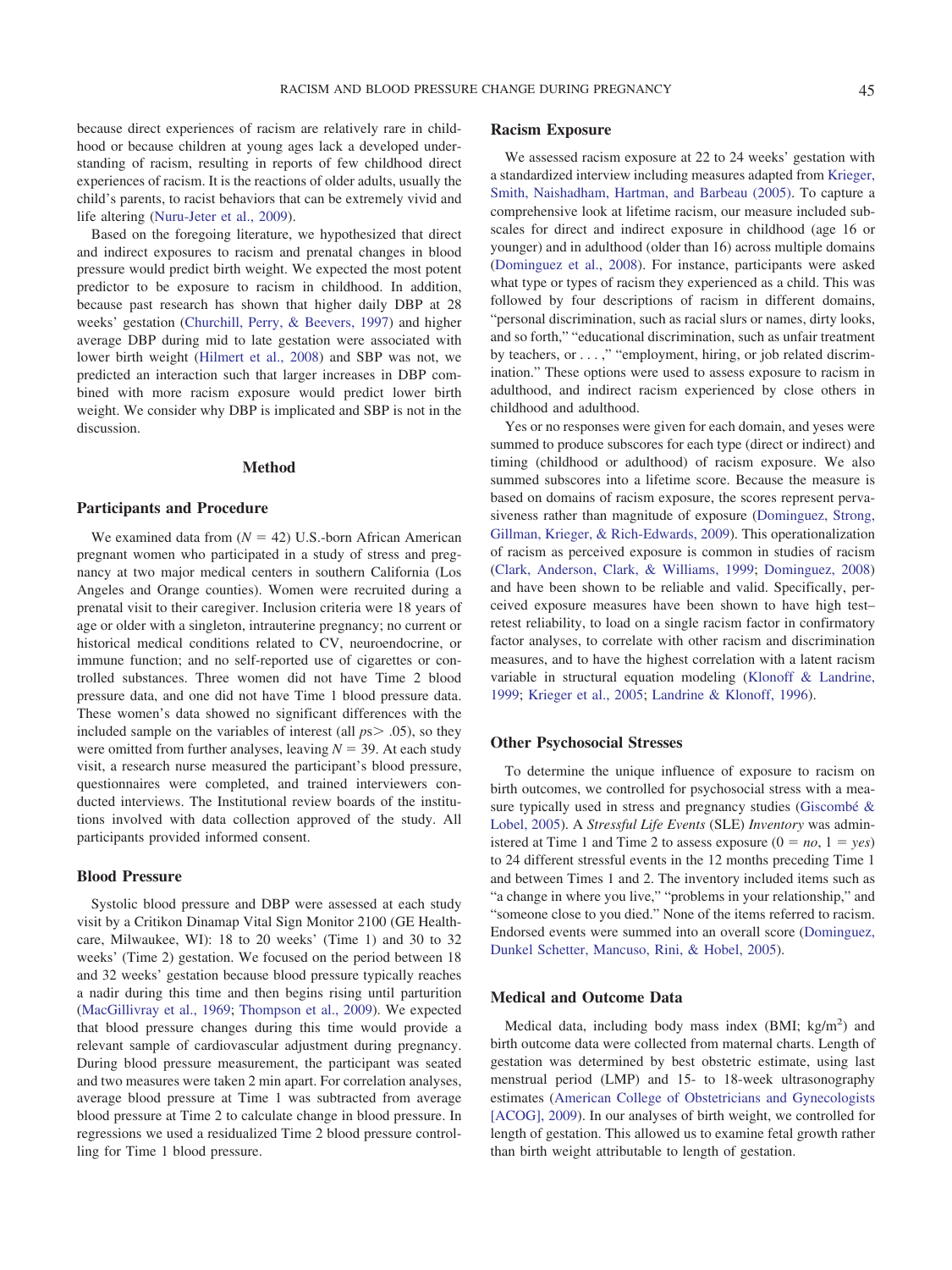because direct experiences of racism are relatively rare in childhood or because children at young ages lack a developed understanding of racism, resulting in reports of few childhood direct experiences of racism. It is the reactions of older adults, usually the child's parents, to racist behaviors that can be extremely vivid and life altering [\(Nuru-Jeter et al., 2009\)](#page-8-12).

Based on the foregoing literature, we hypothesized that direct and indirect exposures to racism and prenatal changes in blood pressure would predict birth weight. We expected the most potent predictor to be exposure to racism in childhood. In addition, because past research has shown that higher daily DBP at 28 weeks' gestation [\(Churchill, Perry, & Beevers, 1997\)](#page-7-7) and higher average DBP during mid to late gestation were associated with lower birth weight [\(Hilmert et al., 2008\)](#page-8-8) and SBP was not, we predicted an interaction such that larger increases in DBP combined with more racism exposure would predict lower birth weight. We consider why DBP is implicated and SBP is not in the discussion.

### **Method**

#### **Participants and Procedure**

We examined data from  $(N = 42)$  U.S.-born African American pregnant women who participated in a study of stress and pregnancy at two major medical centers in southern California (Los Angeles and Orange counties). Women were recruited during a prenatal visit to their caregiver. Inclusion criteria were 18 years of age or older with a singleton, intrauterine pregnancy; no current or historical medical conditions related to CV, neuroendocrine, or immune function; and no self-reported use of cigarettes or controlled substances. Three women did not have Time 2 blood pressure data, and one did not have Time 1 blood pressure data. These women's data showed no significant differences with the included sample on the variables of interest (all  $ps > .05$ ), so they were omitted from further analyses, leaving  $N = 39$ . At each study visit, a research nurse measured the participant's blood pressure, questionnaires were completed, and trained interviewers conducted interviews. The Institutional review boards of the institutions involved with data collection approved of the study. All participants provided informed consent.

### **Blood Pressure**

Systolic blood pressure and DBP were assessed at each study visit by a Critikon Dinamap Vital Sign Monitor 2100 (GE Healthcare, Milwaukee, WI): 18 to 20 weeks' (Time 1) and 30 to 32 weeks' (Time 2) gestation. We focused on the period between 18 and 32 weeks' gestation because blood pressure typically reaches a nadir during this time and then begins rising until parturition [\(MacGillivray et al., 1969;](#page-8-10) [Thompson et al., 2009\)](#page-9-0). We expected that blood pressure changes during this time would provide a relevant sample of cardiovascular adjustment during pregnancy. During blood pressure measurement, the participant was seated and two measures were taken 2 min apart. For correlation analyses, average blood pressure at Time 1 was subtracted from average blood pressure at Time 2 to calculate change in blood pressure. In regressions we used a residualized Time 2 blood pressure controlling for Time 1 blood pressure.

#### **Racism Exposure**

We assessed racism exposure at 22 to 24 weeks' gestation with a standardized interview including measures adapted from [Krieger,](#page-8-17) [Smith, Naishadham, Hartman, and Barbeau \(2005\).](#page-8-17) To capture a comprehensive look at lifetime racism, our measure included subscales for direct and indirect exposure in childhood (age 16 or younger) and in adulthood (older than 16) across multiple domains [\(Dominguez et al., 2008\)](#page-7-3). For instance, participants were asked what type or types of racism they experienced as a child. This was followed by four descriptions of racism in different domains, "personal discrimination, such as racial slurs or names, dirty looks, and so forth," "educational discrimination, such as unfair treatment by teachers, or . . . ," "employment, hiring, or job related discrimination." These options were used to assess exposure to racism in adulthood, and indirect racism experienced by close others in childhood and adulthood.

Yes or no responses were given for each domain, and yeses were summed to produce subscores for each type (direct or indirect) and timing (childhood or adulthood) of racism exposure. We also summed subscores into a lifetime score. Because the measure is based on domains of racism exposure, the scores represent pervasiveness rather than magnitude of exposure [\(Dominguez, Strong,](#page-8-20) [Gillman, Krieger, & Rich-Edwards, 2009\)](#page-8-20). This operationalization of racism as perceived exposure is common in studies of racism [\(Clark, Anderson, Clark, & Williams, 1999;](#page-7-8) [Dominguez, 2008\)](#page-7-5) and have been shown to be reliable and valid. Specifically, perceived exposure measures have been shown to have high test– retest reliability, to load on a single racism factor in confirmatory factor analyses, to correlate with other racism and discrimination measures, and to have the highest correlation with a latent racism variable in structural equation modeling [\(Klonoff & Landrine,](#page-8-21) [1999;](#page-8-21) [Krieger et al., 2005;](#page-8-17) [Landrine & Klonoff, 1996\)](#page-8-22).

#### **Other Psychosocial Stresses**

To determine the unique influence of exposure to racism on birth outcomes, we controlled for psychosocial stress with a measure typically used in stress and pregnancy studies [\(Giscombé &](#page-8-0) [Lobel, 2005\)](#page-8-0). A *Stressful Life Events* (SLE) *Inventory* was administered at Time 1 and Time 2 to assess exposure  $(0 = no, 1 = yes)$ to 24 different stressful events in the 12 months preceding Time 1 and between Times 1 and 2. The inventory included items such as "a change in where you live," "problems in your relationship," and "someone close to you died." None of the items referred to racism. Endorsed events were summed into an overall score [\(Dominguez,](#page-7-9) [Dunkel Schetter, Mancuso, Rini, & Hobel, 2005\)](#page-7-9).

### **Medical and Outcome Data**

Medical data, including body mass index (BMI; kg/m<sup>2</sup>) and birth outcome data were collected from maternal charts. Length of gestation was determined by best obstetric estimate, using last menstrual period (LMP) and 15- to 18-week ultrasonography estimates [\(American College of Obstetricians and Gynecologists](#page-7-10) [\[ACOG\], 2009\)](#page-7-10). In our analyses of birth weight, we controlled for length of gestation. This allowed us to examine fetal growth rather than birth weight attributable to length of gestation.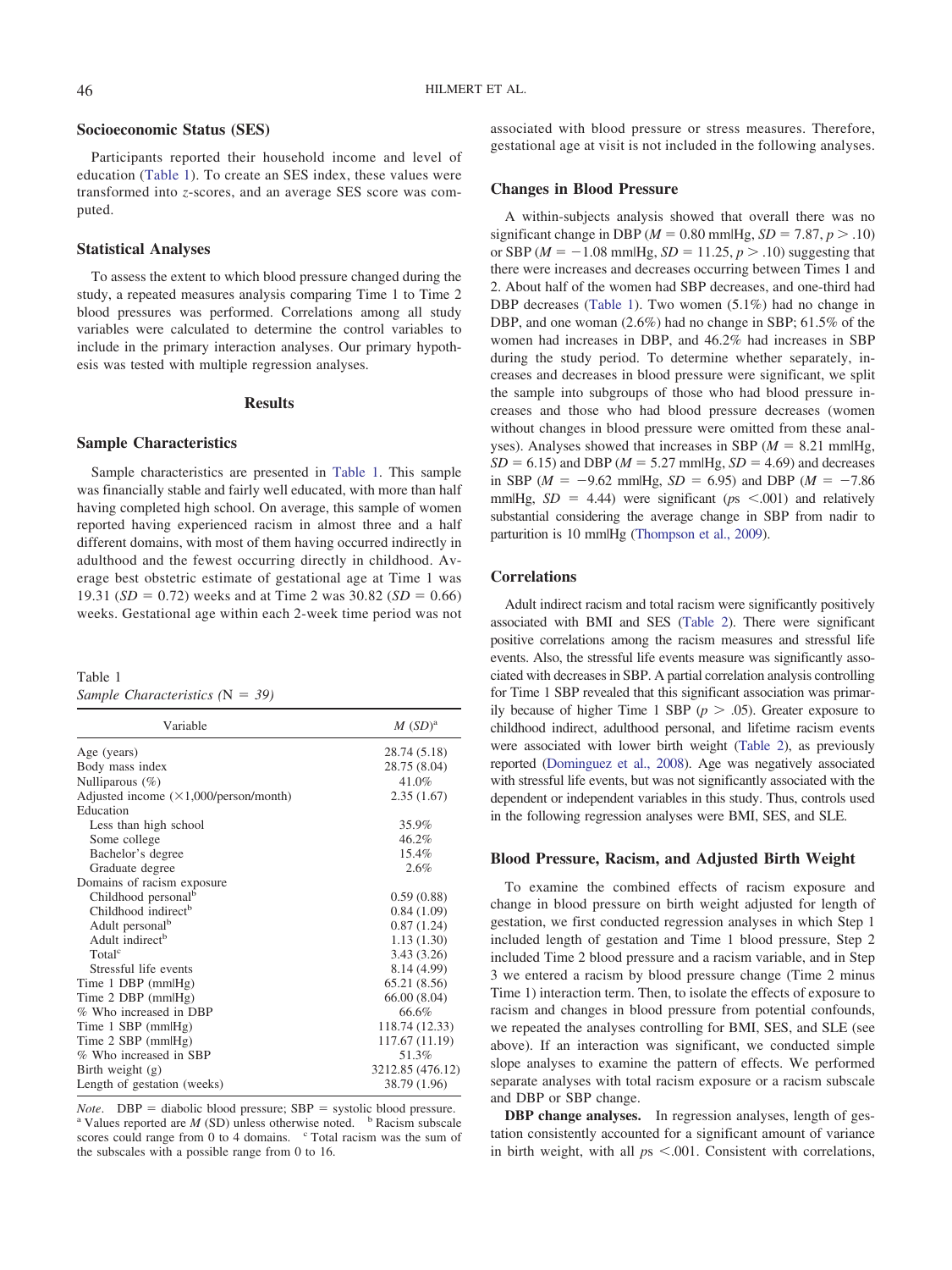### **Socioeconomic Status (SES)**

Participants reported their household income and level of education [\(Table 1\)](#page-4-0). To create an SES index, these values were transformed into *z*-scores, and an average SES score was computed.

### **Statistical Analyses**

To assess the extent to which blood pressure changed during the study, a repeated measures analysis comparing Time 1 to Time 2 blood pressures was performed. Correlations among all study variables were calculated to determine the control variables to include in the primary interaction analyses. Our primary hypothesis was tested with multiple regression analyses.

#### **Results**

#### **Sample Characteristics**

Sample characteristics are presented in [Table 1.](#page-4-0) This sample was financially stable and fairly well educated, with more than half having completed high school. On average, this sample of women reported having experienced racism in almost three and a half different domains, with most of them having occurred indirectly in adulthood and the fewest occurring directly in childhood. Average best obstetric estimate of gestational age at Time 1 was 19.31 ( $SD = 0.72$ ) weeks and at Time 2 was 30.82 ( $SD = 0.66$ ) weeks. Gestational age within each 2-week time period was not

<span id="page-4-0"></span>

| Table 1 |                                     |
|---------|-------------------------------------|
|         | Sample Characteristics ( $N = 39$ ) |

| Variable                                             | $M(SD)^a$        |
|------------------------------------------------------|------------------|
| Age (years)                                          | 28.74 (5.18)     |
| Body mass index                                      | 28.75 (8.04)     |
| Nulliparous $(\% )$                                  | 41.0%            |
| Adjusted income $(\times 1,000/\text{person/month})$ | 2.35(1.67)       |
| Education                                            |                  |
| Less than high school                                | 35.9%            |
| Some college                                         | 46.2%            |
| Bachelor's degree                                    | 15.4%            |
| Graduate degree                                      | 2.6%             |
| Domains of racism exposure                           |                  |
| Childhood personal <sup>b</sup>                      | 0.59(0.88)       |
| Childhood indirect <sup>b</sup>                      | 0.84(1.09)       |
| Adult personal <sup>b</sup>                          | 0.87(1.24)       |
| Adult indirect <sup>b</sup>                          | 1.13(1.30)       |
| Total <sup>c</sup>                                   | 3.43(3.26)       |
| Stressful life events                                | 8.14 (4.99)      |
| Time 1 DBP (mmlHg)                                   | 65.21 (8.56)     |
| Time $2$ DBP (mm $Hg$ )                              | 66.00(8.04)      |
| % Who increased in DBP                               | 66.6%            |
| Time 1 SBP (mmlHg)                                   | 118.74 (12.33)   |
| Time $2$ SBP (mm $Hg$ )                              | 117.67 (11.19)   |
| % Who increased in SBP                               | 51.3%            |
| Birth weight $(g)$                                   | 3212.85 (476.12) |
| Length of gestation (weeks)                          | 38.79 (1.96)     |

*Note*. DBP = diabolic blood pressure; SBP = systolic blood pressure.  $a^a$  Values reported are *M* (SD) unless otherwise noted.  $b^b$  Racism subscale scores could range from 0 to 4 domains.  $\degree$  Total racism was the sum of the subscales with a possible range from 0 to 16.

associated with blood pressure or stress measures. Therefore, gestational age at visit is not included in the following analyses.

#### **Changes in Blood Pressure**

A within-subjects analysis showed that overall there was no significant change in DBP ( $M = 0.80$  mm|Hg,  $SD = 7.87, p > .10$ ) or SBP ( $M = -1.08$  mm|Hg,  $SD = 11.25$ ,  $p > .10$ ) suggesting that there were increases and decreases occurring between Times 1 and 2. About half of the women had SBP decreases, and one-third had DBP decreases [\(Table 1\)](#page-4-0). Two women (5.1%) had no change in DBP, and one woman  $(2.6\%)$  had no change in SBP; 61.5% of the women had increases in DBP, and 46.2% had increases in SBP during the study period. To determine whether separately, increases and decreases in blood pressure were significant, we split the sample into subgroups of those who had blood pressure increases and those who had blood pressure decreases (women without changes in blood pressure were omitted from these analyses). Analyses showed that increases in SBP ( $M = 8.21$  mmlHg,  $SD = 6.15$ ) and DBP ( $M = 5.27$  mm Hg,  $SD = 4.69$ ) and decreases in SBP ( $M = -9.62$  mm|Hg,  $SD = 6.95$ ) and DBP ( $M = -7.86$ ) mm|Hg,  $SD = 4.44$ ) were significant ( $ps < .001$ ) and relatively substantial considering the average change in SBP from nadir to parturition is 10 mm|Hg [\(Thompson et al., 2009\)](#page-9-0).

### **Correlations**

Adult indirect racism and total racism were significantly positively associated with BMI and SES [\(Table 2\)](#page-5-0). There were significant positive correlations among the racism measures and stressful life events. Also, the stressful life events measure was significantly associated with decreases in SBP. A partial correlation analysis controlling for Time 1 SBP revealed that this significant association was primarily because of higher Time 1 SBP  $(p > .05)$ . Greater exposure to childhood indirect, adulthood personal, and lifetime racism events were associated with lower birth weight [\(Table 2\)](#page-5-0), as previously reported [\(Dominguez et al., 2008\)](#page-7-3). Age was negatively associated with stressful life events, but was not significantly associated with the dependent or independent variables in this study. Thus, controls used in the following regression analyses were BMI, SES, and SLE.

### **Blood Pressure, Racism, and Adjusted Birth Weight**

To examine the combined effects of racism exposure and change in blood pressure on birth weight adjusted for length of gestation, we first conducted regression analyses in which Step 1 included length of gestation and Time 1 blood pressure, Step 2 included Time 2 blood pressure and a racism variable, and in Step 3 we entered a racism by blood pressure change (Time 2 minus Time 1) interaction term. Then, to isolate the effects of exposure to racism and changes in blood pressure from potential confounds, we repeated the analyses controlling for BMI, SES, and SLE (see above). If an interaction was significant, we conducted simple slope analyses to examine the pattern of effects. We performed separate analyses with total racism exposure or a racism subscale and DBP or SBP change.

**DBP change analyses.** In regression analyses, length of gestation consistently accounted for a significant amount of variance in birth weight, with all  $ps < 0.001$ . Consistent with correlations,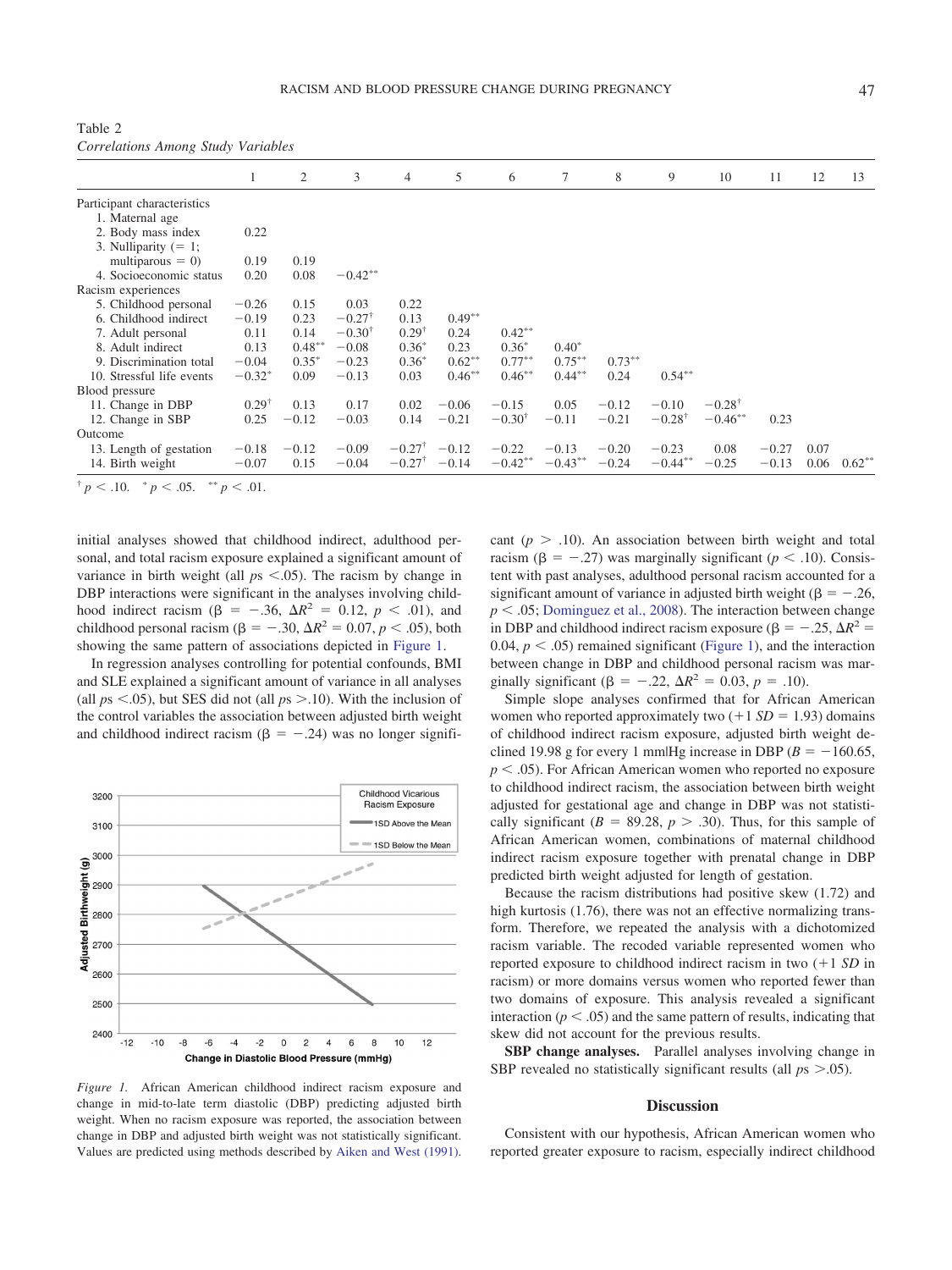<span id="page-5-0"></span>Table 2 *Correlations Among Study Variables*

|                             |                  | 2         | 3                 | 4                 | 5         | 6                 | 7         | 8         | 9                 | 10                | 11      | 12   | 13       |
|-----------------------------|------------------|-----------|-------------------|-------------------|-----------|-------------------|-----------|-----------|-------------------|-------------------|---------|------|----------|
| Participant characteristics |                  |           |                   |                   |           |                   |           |           |                   |                   |         |      |          |
| 1. Maternal age             |                  |           |                   |                   |           |                   |           |           |                   |                   |         |      |          |
| 2. Body mass index          | 0.22             |           |                   |                   |           |                   |           |           |                   |                   |         |      |          |
| 3. Nulliparity $(= 1;$      |                  |           |                   |                   |           |                   |           |           |                   |                   |         |      |          |
| multiparous $= 0$ )         | 0.19             | 0.19      |                   |                   |           |                   |           |           |                   |                   |         |      |          |
| 4. Socioeconomic status     | 0.20             | 0.08      | $-0.42**$         |                   |           |                   |           |           |                   |                   |         |      |          |
| Racism experiences          |                  |           |                   |                   |           |                   |           |           |                   |                   |         |      |          |
| 5. Childhood personal       | $-0.26$          | 0.15      | 0.03              | 0.22              |           |                   |           |           |                   |                   |         |      |          |
| 6. Childhood indirect       | $-0.19$          | 0.23      | $-0.27^{\dagger}$ | 0.13              | $0.49**$  |                   |           |           |                   |                   |         |      |          |
| 7. Adult personal           | 0.11             | 0.14      | $-0.30^{\dagger}$ | $0.29^{\dagger}$  | 0.24      | $0.42***$         |           |           |                   |                   |         |      |          |
| 8. Adult indirect           | 0.13             | $0.48***$ | $-0.08$           | $0.36*$           | 0.23      | $0.36*$           | $0.40*$   |           |                   |                   |         |      |          |
| 9. Discrimination total     | $-0.04$          | $0.35*$   | $-0.23$           | $0.36*$           | $0.62***$ | $0.77***$         | $0.75***$ | $0.73***$ |                   |                   |         |      |          |
| 10. Stressful life events   | $-0.32*$         | 0.09      | $-0.13$           | 0.03              | $0.46**$  | $0.46***$         | $0.44***$ | 0.24      | $0.54***$         |                   |         |      |          |
| Blood pressure              |                  |           |                   |                   |           |                   |           |           |                   |                   |         |      |          |
| 11. Change in DBP           | $0.29^{\dagger}$ | 0.13      | 0.17              | 0.02              | $-0.06$   | $-0.15$           | 0.05      | $-0.12$   | $-0.10$           | $-0.28^{\dagger}$ |         |      |          |
| 12. Change in SBP           | 0.25             | $-0.12$   | $-0.03$           | 0.14              | $-0.21$   | $-0.30^{\dagger}$ | $-0.11$   | $-0.21$   | $-0.28^{\dagger}$ | $-0.46**$         | 0.23    |      |          |
| Outcome                     |                  |           |                   |                   |           |                   |           |           |                   |                   |         |      |          |
| 13. Length of gestation     | $-0.18$          | $-0.12$   | $-0.09$           | $-0.27^{\dagger}$ | $-0.12$   | $-0.22$           | $-0.13$   | $-0.20$   | $-0.23$           | 0.08              | $-0.27$ | 0.07 |          |
| 14. Birth weight            | $-0.07$          | 0.15      | $-0.04$           | $-0.27^{\dagger}$ | $-0.14$   | $-0.42**$         | $-0.43**$ | $-0.24$   | $-0.44**$         | $-0.25$           | $-0.13$ | 0.06 | $0.62**$ |

 $\frac{p}{p}$  < .10.  $\frac{p}{p}$  < .05.  $\frac{p}{p}$  < .01.

initial analyses showed that childhood indirect, adulthood personal, and total racism exposure explained a significant amount of variance in birth weight (all  $ps < .05$ ). The racism by change in DBP interactions were significant in the analyses involving childhood indirect racism ( $\beta = -.36$ ,  $\Delta R^2 = 0.12$ ,  $p < .01$ ), and childhood personal racism ( $\beta = -.30$ ,  $\Delta R^2 = 0.07$ ,  $p < .05$ ), both showing the same pattern of associations depicted in [Figure 1.](#page-5-1)

In regression analyses controlling for potential confounds, BMI and SLE explained a significant amount of variance in all analyses (all  $ps < .05$ ), but SES did not (all  $ps > .10$ ). With the inclusion of the control variables the association between adjusted birth weight and childhood indirect racism ( $\beta = -.24$ ) was no longer signifi-



<span id="page-5-1"></span>*Figure 1.* African American childhood indirect racism exposure and change in mid-to-late term diastolic (DBP) predicting adjusted birth weight. When no racism exposure was reported, the association between change in DBP and adjusted birth weight was not statistically significant. Values are predicted using methods described by [Aiken and West \(1991\).](#page-7-11)

cant  $(p > .10)$ . An association between birth weight and total racism ( $\beta = -.27$ ) was marginally significant ( $p < .10$ ). Consistent with past analyses, adulthood personal racism accounted for a significant amount of variance in adjusted birth weight ( $\beta = -.26$ ,  $p < .05$ ; [Dominguez et al., 2008\)](#page-7-3). The interaction between change in DBP and childhood indirect racism exposure ( $\beta = -.25$ ,  $\Delta R^2 =$  $0.04, p \leq 0.05$ ) remained significant [\(Figure 1\)](#page-5-1), and the interaction between change in DBP and childhood personal racism was marginally significant ( $\beta = -.22$ ,  $\Delta R^2 = 0.03$ ,  $p = .10$ ).

Simple slope analyses confirmed that for African American women who reported approximately two  $(+1 SD = 1.93)$  domains of childhood indirect racism exposure, adjusted birth weight declined 19.98 g for every 1 mm|Hg increase in DBP ( $B = -160.65$ ,  $p < .05$ ). For African American women who reported no exposure to childhood indirect racism, the association between birth weight adjusted for gestational age and change in DBP was not statistically significant ( $B = 89.28$ ,  $p > .30$ ). Thus, for this sample of African American women, combinations of maternal childhood indirect racism exposure together with prenatal change in DBP predicted birth weight adjusted for length of gestation.

Because the racism distributions had positive skew (1.72) and high kurtosis (1.76), there was not an effective normalizing transform. Therefore, we repeated the analysis with a dichotomized racism variable. The recoded variable represented women who reported exposure to childhood indirect racism in two  $(+1 S D)$  in racism) or more domains versus women who reported fewer than two domains of exposure. This analysis revealed a significant interaction ( $p < .05$ ) and the same pattern of results, indicating that skew did not account for the previous results.

**SBP change analyses.** Parallel analyses involving change in SBP revealed no statistically significant results (all  $p_s > .05$ ).

#### **Discussion**

Consistent with our hypothesis, African American women who reported greater exposure to racism, especially indirect childhood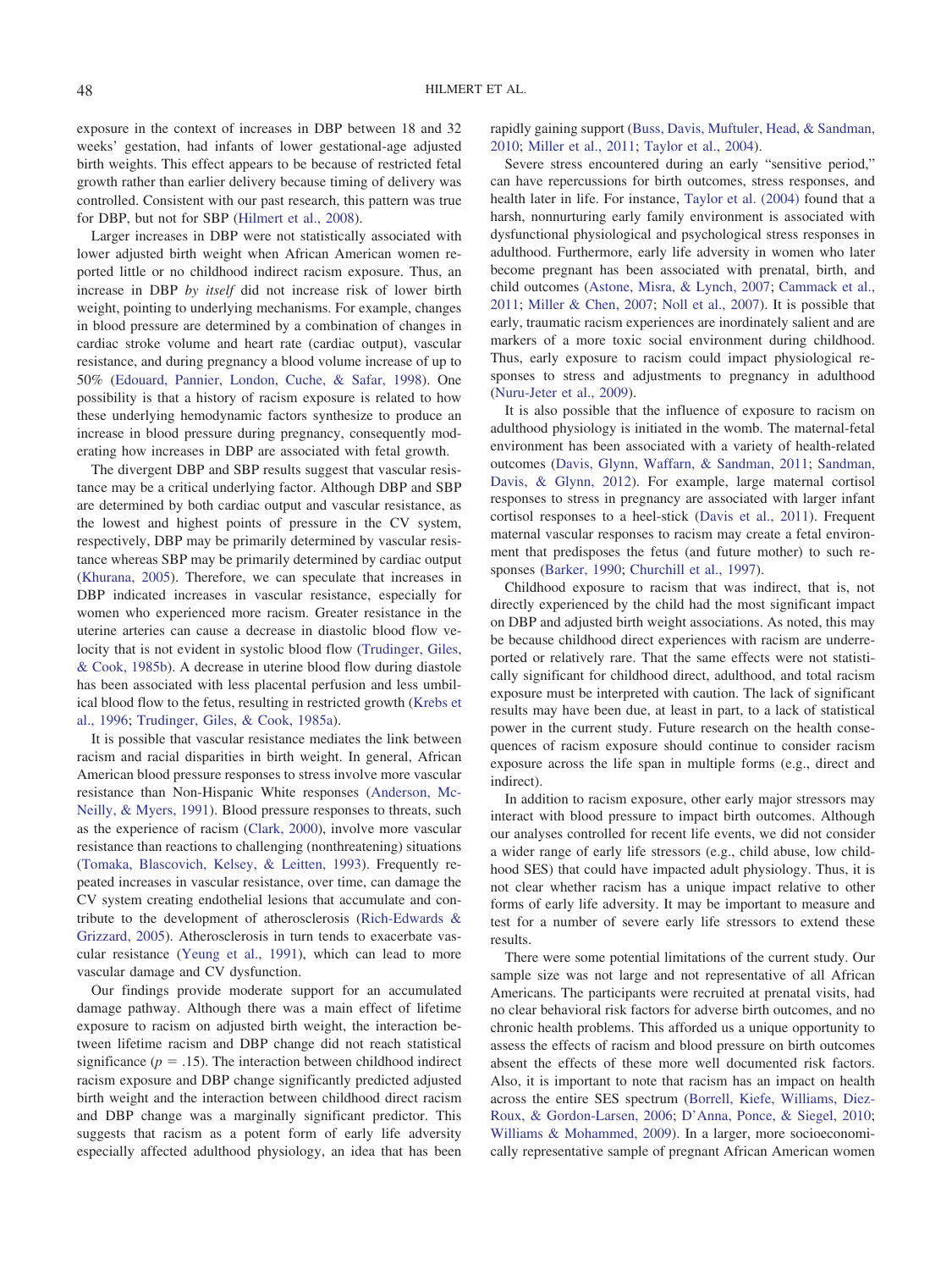exposure in the context of increases in DBP between 18 and 32 weeks' gestation, had infants of lower gestational-age adjusted birth weights. This effect appears to be because of restricted fetal growth rather than earlier delivery because timing of delivery was controlled. Consistent with our past research, this pattern was true for DBP, but not for SBP [\(Hilmert et al., 2008\)](#page-8-8).

Larger increases in DBP were not statistically associated with lower adjusted birth weight when African American women reported little or no childhood indirect racism exposure. Thus, an increase in DBP *by itself* did not increase risk of lower birth weight, pointing to underlying mechanisms. For example, changes in blood pressure are determined by a combination of changes in cardiac stroke volume and heart rate (cardiac output), vascular resistance, and during pregnancy a blood volume increase of up to 50% [\(Edouard, Pannier, London, Cuche, & Safar, 1998\)](#page-8-23). One possibility is that a history of racism exposure is related to how these underlying hemodynamic factors synthesize to produce an increase in blood pressure during pregnancy, consequently moderating how increases in DBP are associated with fetal growth.

The divergent DBP and SBP results suggest that vascular resistance may be a critical underlying factor. Although DBP and SBP are determined by both cardiac output and vascular resistance, as the lowest and highest points of pressure in the CV system, respectively, DBP may be primarily determined by vascular resistance whereas SBP may be primarily determined by cardiac output [\(Khurana, 2005\)](#page-8-24). Therefore, we can speculate that increases in DBP indicated increases in vascular resistance, especially for women who experienced more racism. Greater resistance in the uterine arteries can cause a decrease in diastolic blood flow velocity that is not evident in systolic blood flow [\(Trudinger, Giles,](#page-9-6) [& Cook, 1985b\)](#page-9-6). A decrease in uterine blood flow during diastole has been associated with less placental perfusion and less umbilical blood flow to the fetus, resulting in restricted growth [\(Krebs et](#page-8-25) [al., 1996;](#page-8-25) [Trudinger, Giles, & Cook, 1985a\)](#page-9-7).

It is possible that vascular resistance mediates the link between racism and racial disparities in birth weight. In general, African American blood pressure responses to stress involve more vascular resistance than Non-Hispanic White responses [\(Anderson, Mc-](#page-7-12)[Neilly, & Myers, 1991\)](#page-7-12). Blood pressure responses to threats, such as the experience of racism [\(Clark, 2000\)](#page-7-13), involve more vascular resistance than reactions to challenging (nonthreatening) situations [\(Tomaka, Blascovich, Kelsey, & Leitten, 1993\)](#page-9-8). Frequently repeated increases in vascular resistance, over time, can damage the CV system creating endothelial lesions that accumulate and contribute to the development of atherosclerosis [\(Rich-Edwards &](#page-8-26) [Grizzard, 2005\)](#page-8-26). Atherosclerosis in turn tends to exacerbate vascular resistance [\(Yeung et al., 1991\)](#page-9-9), which can lead to more vascular damage and CV dysfunction.

Our findings provide moderate support for an accumulated damage pathway. Although there was a main effect of lifetime exposure to racism on adjusted birth weight, the interaction between lifetime racism and DBP change did not reach statistical significance  $(p = .15)$ . The interaction between childhood indirect racism exposure and DBP change significantly predicted adjusted birth weight and the interaction between childhood direct racism and DBP change was a marginally significant predictor. This suggests that racism as a potent form of early life adversity especially affected adulthood physiology, an idea that has been rapidly gaining support [\(Buss, Davis, Muftuler, Head, & Sandman,](#page-7-14) [2010;](#page-7-14) [Miller et al., 2011;](#page-8-19) [Taylor et al., 2004\)](#page-9-5).

Severe stress encountered during an early "sensitive period," can have repercussions for birth outcomes, stress responses, and health later in life. For instance, [Taylor et al. \(2004\)](#page-9-5) found that a harsh, nonnurturing early family environment is associated with dysfunctional physiological and psychological stress responses in adulthood. Furthermore, early life adversity in women who later become pregnant has been associated with prenatal, birth, and child outcomes [\(Astone, Misra, & Lynch, 2007;](#page-7-15) [Cammack et al.,](#page-7-16) [2011;](#page-7-16) [Miller & Chen, 2007;](#page-8-27) [Noll et al., 2007\)](#page-8-28). It is possible that early, traumatic racism experiences are inordinately salient and are markers of a more toxic social environment during childhood. Thus, early exposure to racism could impact physiological responses to stress and adjustments to pregnancy in adulthood [\(Nuru-Jeter et al., 2009\)](#page-8-12).

It is also possible that the influence of exposure to racism on adulthood physiology is initiated in the womb. The maternal-fetal environment has been associated with a variety of health-related outcomes [\(Davis, Glynn, Waffarn, & Sandman, 2011;](#page-7-17) [Sandman,](#page-8-29) [Davis, & Glynn, 2012\)](#page-8-29). For example, large maternal cortisol responses to stress in pregnancy are associated with larger infant cortisol responses to a heel-stick [\(Davis et al., 2011\)](#page-7-17). Frequent maternal vascular responses to racism may create a fetal environment that predisposes the fetus (and future mother) to such responses [\(Barker, 1990;](#page-7-18) [Churchill et al., 1997\)](#page-7-7).

Childhood exposure to racism that was indirect, that is, not directly experienced by the child had the most significant impact on DBP and adjusted birth weight associations. As noted, this may be because childhood direct experiences with racism are underreported or relatively rare. That the same effects were not statistically significant for childhood direct, adulthood, and total racism exposure must be interpreted with caution. The lack of significant results may have been due, at least in part, to a lack of statistical power in the current study. Future research on the health consequences of racism exposure should continue to consider racism exposure across the life span in multiple forms (e.g., direct and indirect).

In addition to racism exposure, other early major stressors may interact with blood pressure to impact birth outcomes. Although our analyses controlled for recent life events, we did not consider a wider range of early life stressors (e.g., child abuse, low childhood SES) that could have impacted adult physiology. Thus, it is not clear whether racism has a unique impact relative to other forms of early life adversity. It may be important to measure and test for a number of severe early life stressors to extend these results.

There were some potential limitations of the current study. Our sample size was not large and not representative of all African Americans. The participants were recruited at prenatal visits, had no clear behavioral risk factors for adverse birth outcomes, and no chronic health problems. This afforded us a unique opportunity to assess the effects of racism and blood pressure on birth outcomes absent the effects of these more well documented risk factors. Also, it is important to note that racism has an impact on health across the entire SES spectrum [\(Borrell, Kiefe, Williams, Diez-](#page-7-19)[Roux, & Gordon-Larsen, 2006;](#page-7-19) [D'Anna, Ponce, & Siegel, 2010;](#page-7-20) [Williams & Mohammed, 2009\)](#page-9-10). In a larger, more socioeconomically representative sample of pregnant African American women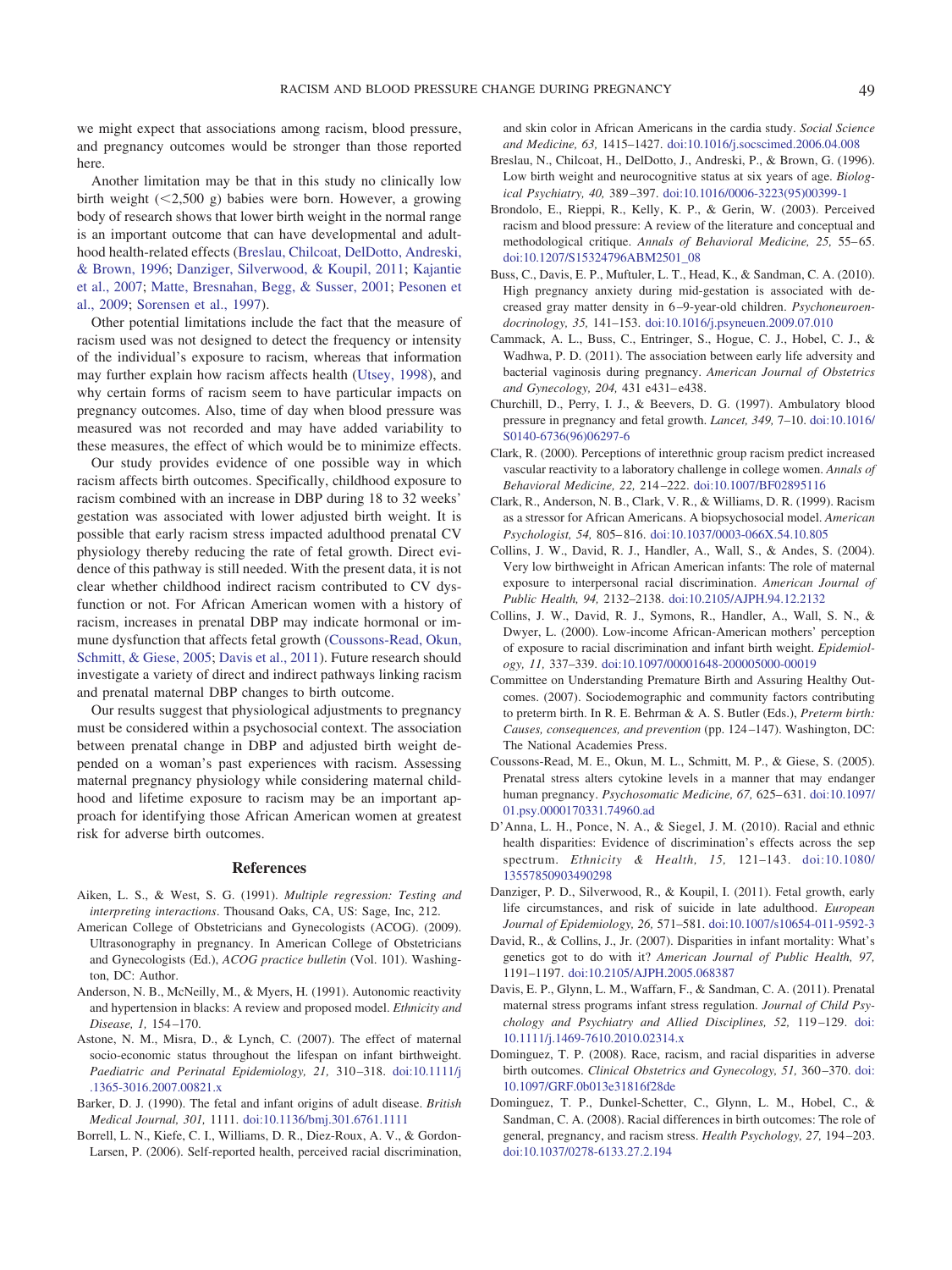<span id="page-7-9"></span>we might expect that associations among racism, blood pressure, and pregnancy outcomes would be stronger than those reported here.

Another limitation may be that in this study no clinically low birth weight  $(<2,500$  g) babies were born. However, a growing body of research shows that lower birth weight in the normal range is an important outcome that can have developmental and adulthood health-related effects [\(Breslau, Chilcoat, DelDotto, Andreski,](#page-7-21) [& Brown, 1996;](#page-7-21) [Danziger, Silverwood, & Koupil, 2011;](#page-7-22) [Kajantie](#page-8-30) [et al., 2007;](#page-8-30) [Matte, Bresnahan, Begg, & Susser, 2001;](#page-8-31) [Pesonen et](#page-8-32) [al., 2009;](#page-8-32) [Sorensen et al., 1997\)](#page-9-11).

Other potential limitations include the fact that the measure of racism used was not designed to detect the frequency or intensity of the individual's exposure to racism, whereas that information may further explain how racism affects health [\(Utsey, 1998\)](#page-9-12), and why certain forms of racism seem to have particular impacts on pregnancy outcomes. Also, time of day when blood pressure was measured was not recorded and may have added variability to these measures, the effect of which would be to minimize effects.

Our study provides evidence of one possible way in which racism affects birth outcomes. Specifically, childhood exposure to racism combined with an increase in DBP during 18 to 32 weeks' gestation was associated with lower adjusted birth weight. It is possible that early racism stress impacted adulthood prenatal CV physiology thereby reducing the rate of fetal growth. Direct evidence of this pathway is still needed. With the present data, it is not clear whether childhood indirect racism contributed to CV dysfunction or not. For African American women with a history of racism, increases in prenatal DBP may indicate hormonal or immune dysfunction that affects fetal growth [\(Coussons-Read, Okun,](#page-7-23) [Schmitt, & Giese, 2005;](#page-7-23) [Davis et al., 2011\)](#page-7-17). Future research should investigate a variety of direct and indirect pathways linking racism and prenatal maternal DBP changes to birth outcome.

Our results suggest that physiological adjustments to pregnancy must be considered within a psychosocial context. The association between prenatal change in DBP and adjusted birth weight depended on a woman's past experiences with racism. Assessing maternal pregnancy physiology while considering maternal childhood and lifetime exposure to racism may be an important approach for identifying those African American women at greatest risk for adverse birth outcomes.

#### **References**

- <span id="page-7-11"></span>Aiken, L. S., & West, S. G. (1991). *Multiple regression: Testing and interpreting interactions*. Thousand Oaks, CA, US: Sage, Inc, 212.
- <span id="page-7-10"></span>American College of Obstetricians and Gynecologists (ACOG). (2009). Ultrasonography in pregnancy. In American College of Obstetricians and Gynecologists (Ed.), *ACOG practice bulletin* (Vol. 101). Washington, DC: Author.
- <span id="page-7-12"></span>Anderson, N. B., McNeilly, M., & Myers, H. (1991). Autonomic reactivity and hypertension in blacks: A review and proposed model. *Ethnicity and Disease, 1,* 154 –170.
- <span id="page-7-15"></span>Astone, N. M., Misra, D., & Lynch, C. (2007). The effect of maternal socio-economic status throughout the lifespan on infant birthweight. *Paediatric and Perinatal Epidemiology, 21,* 310 –318. [doi:10.1111/j](http://dx.doi.org/10.1111/j.1365-3016.2007.00821.x) [.1365-3016.2007.00821.x](http://dx.doi.org/10.1111/j.1365-3016.2007.00821.x)
- <span id="page-7-18"></span>Barker, D. J. (1990). The fetal and infant origins of adult disease. *British Medical Journal, 301,* 1111. [doi:10.1136/bmj.301.6761.1111](http://dx.doi.org/10.1136/bmj.301.6761.1111)
- <span id="page-7-19"></span>Borrell, L. N., Kiefe, C. I., Williams, D. R., Diez-Roux, A. V., & Gordon-Larsen, P. (2006). Self-reported health, perceived racial discrimination,

and skin color in African Americans in the cardia study. *Social Science and Medicine, 63,* 1415–1427. [doi:10.1016/j.socscimed.2006.04.008](http://dx.doi.org/10.1016/j.socscimed.2006.04.008)

- <span id="page-7-21"></span>Breslau, N., Chilcoat, H., DelDotto, J., Andreski, P., & Brown, G. (1996). Low birth weight and neurocognitive status at six years of age. *Biological Psychiatry, 40,* 389 –397. [doi:10.1016/0006-3223\(95\)00399-1](http://dx.doi.org/10.1016/0006-3223%2895%2900399-1)
- <span id="page-7-6"></span>Brondolo, E., Rieppi, R., Kelly, K. P., & Gerin, W. (2003). Perceived racism and blood pressure: A review of the literature and conceptual and methodological critique. *Annals of Behavioral Medicine, 25,* 55– 65. [doi:10.1207/S15324796ABM2501\\_08](http://dx.doi.org/10.1207/S15324796ABM2501_08)
- <span id="page-7-14"></span>Buss, C., Davis, E. P., Muftuler, L. T., Head, K., & Sandman, C. A. (2010). High pregnancy anxiety during mid-gestation is associated with decreased gray matter density in 6 –9-year-old children. *Psychoneuroendocrinology, 35,* 141–153. [doi:10.1016/j.psyneuen.2009.07.010](http://dx.doi.org/10.1016/j.psyneuen.2009.07.010)
- <span id="page-7-16"></span>Cammack, A. L., Buss, C., Entringer, S., Hogue, C. J., Hobel, C. J., & Wadhwa, P. D. (2011). The association between early life adversity and bacterial vaginosis during pregnancy. *American Journal of Obstetrics and Gynecology, 204,* 431 e431– e438.
- <span id="page-7-7"></span>Churchill, D., Perry, I. J., & Beevers, D. G. (1997). Ambulatory blood pressure in pregnancy and fetal growth. *Lancet, 349,* 7–10. [doi:10.1016/](http://dx.doi.org/10.1016/S0140-6736%2896%2906297-6) [S0140-6736\(96\)06297-6](http://dx.doi.org/10.1016/S0140-6736%2896%2906297-6)
- <span id="page-7-13"></span>Clark, R. (2000). Perceptions of interethnic group racism predict increased vascular reactivity to a laboratory challenge in college women. *Annals of Behavioral Medicine, 22,* 214 –222. [doi:10.1007/BF02895116](http://dx.doi.org/10.1007/BF02895116)
- <span id="page-7-8"></span>Clark, R., Anderson, N. B., Clark, V. R., & Williams, D. R. (1999). Racism as a stressor for African Americans. A biopsychosocial model. *American Psychologist, 54,* 805– 816. [doi:10.1037/0003-066X.54.10.805](http://dx.doi.org/10.1037/0003-066X.54.10.805)
- <span id="page-7-2"></span>Collins, J. W., David, R. J., Handler, A., Wall, S., & Andes, S. (2004). Very low birthweight in African American infants: The role of maternal exposure to interpersonal racial discrimination. *American Journal of Public Health, 94,* 2132–2138. [doi:10.2105/AJPH.94.12.2132](http://dx.doi.org/10.2105/AJPH.94.12.2132)
- <span id="page-7-4"></span>Collins, J. W., David, R. J., Symons, R., Handler, A., Wall, S. N., & Dwyer, L. (2000). Low-income African-American mothers' perception of exposure to racial discrimination and infant birth weight. *Epidemiology, 11,* 337–339. [doi:10.1097/00001648-200005000-00019](http://dx.doi.org/10.1097/00001648-200005000-00019)
- <span id="page-7-0"></span>Committee on Understanding Premature Birth and Assuring Healthy Outcomes. (2007). Sociodemographic and community factors contributing to preterm birth. In R. E. Behrman & A. S. Butler (Eds.), *Preterm birth: Causes, consequences, and prevention* (pp. 124 –147). Washington, DC: The National Academies Press.
- <span id="page-7-23"></span>Coussons-Read, M. E., Okun, M. L., Schmitt, M. P., & Giese, S. (2005). Prenatal stress alters cytokine levels in a manner that may endanger human pregnancy. *Psychosomatic Medicine, 67,* 625– 631. [doi:10.1097/](http://dx.doi.org/10.1097/01.psy.0000170331.74960.ad) [01.psy.0000170331.74960.ad](http://dx.doi.org/10.1097/01.psy.0000170331.74960.ad)
- <span id="page-7-20"></span>D'Anna, L. H., Ponce, N. A., & Siegel, J. M. (2010). Racial and ethnic health disparities: Evidence of discrimination's effects across the sep spectrum. *Ethnicity & Health, 15,* 121–143. [doi:10.1080/](http://dx.doi.org/10.1080/13557850903490298) [13557850903490298](http://dx.doi.org/10.1080/13557850903490298)
- <span id="page-7-22"></span>Danziger, P. D., Silverwood, R., & Koupil, I. (2011). Fetal growth, early life circumstances, and risk of suicide in late adulthood. *European Journal of Epidemiology, 26,* 571–581. [doi:10.1007/s10654-011-9592-3](http://dx.doi.org/10.1007/s10654-011-9592-3)
- <span id="page-7-1"></span>David, R., & Collins, J., Jr. (2007). Disparities in infant mortality: What's genetics got to do with it? *American Journal of Public Health, 97,* 1191–1197. [doi:10.2105/AJPH.2005.068387](http://dx.doi.org/10.2105/AJPH.2005.068387)
- <span id="page-7-17"></span>Davis, E. P., Glynn, L. M., Waffarn, F., & Sandman, C. A. (2011). Prenatal maternal stress programs infant stress regulation. *Journal of Child Psychology and Psychiatry and Allied Disciplines, 52,* 119 –129. [doi:](http://dx.doi.org/10.1111/j.1469-7610.2010.02314.x) [10.1111/j.1469-7610.2010.02314.x](http://dx.doi.org/10.1111/j.1469-7610.2010.02314.x)
- <span id="page-7-5"></span>Dominguez, T. P. (2008). Race, racism, and racial disparities in adverse birth outcomes. *Clinical Obstetrics and Gynecology*, 51, 360–370. [doi:](http://dx.doi.org/10.1097/GRF.0b013e31816f28de) [10.1097/GRF.0b013e31816f28de](http://dx.doi.org/10.1097/GRF.0b013e31816f28de)
- <span id="page-7-3"></span>Dominguez, T. P., Dunkel-Schetter, C., Glynn, L. M., Hobel, C., & Sandman, C. A. (2008). Racial differences in birth outcomes: The role of general, pregnancy, and racism stress. *Health Psychology, 27,* 194 –203. [doi:10.1037/0278-6133.27.2.194](http://dx.doi.org/10.1037/0278-6133.27.2.194)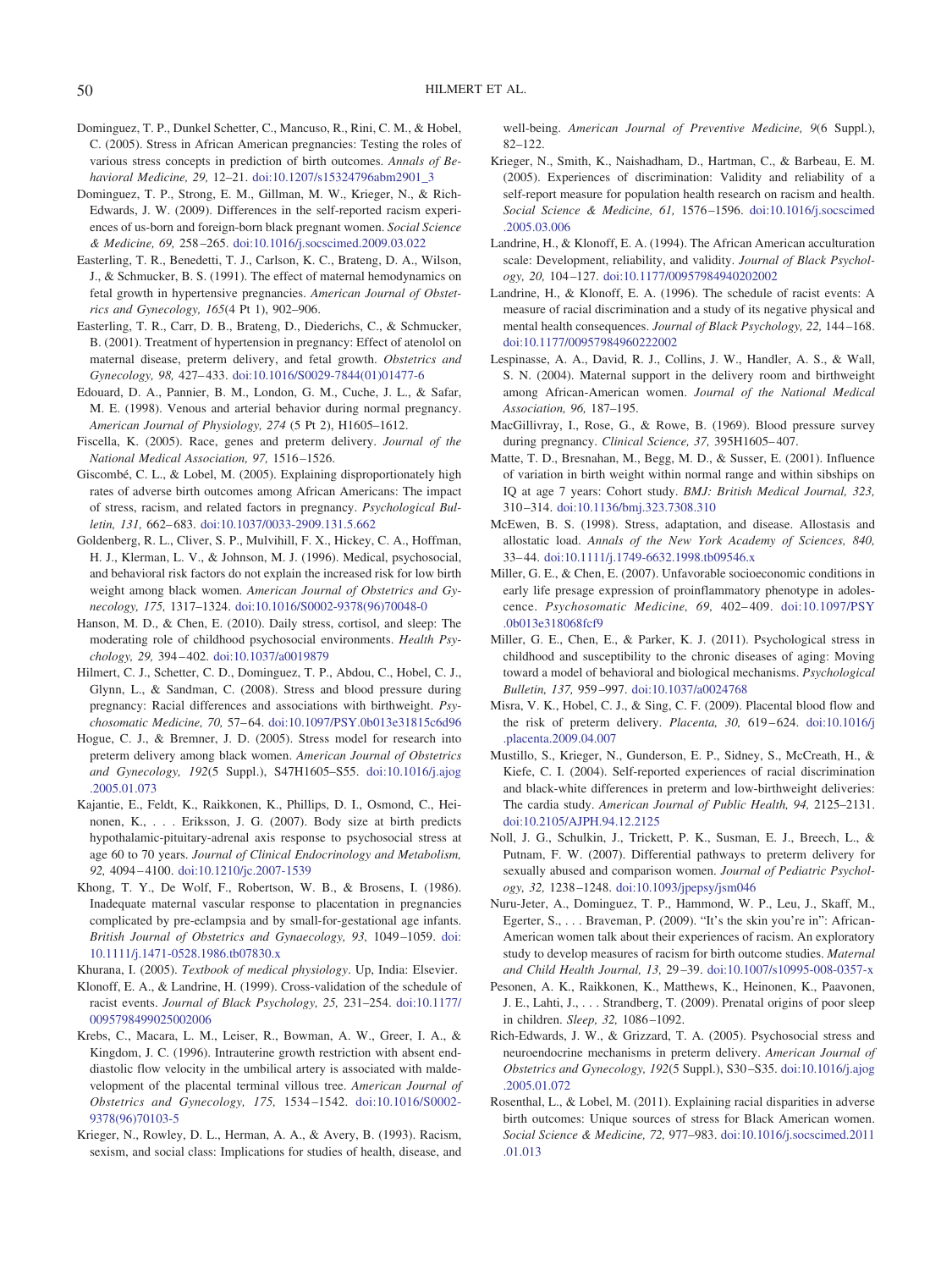- <span id="page-8-29"></span>Dominguez, T. P., Dunkel Schetter, C., Mancuso, R., Rini, C. M., & Hobel, C. (2005). Stress in African American pregnancies: Testing the roles of various stress concepts in prediction of birth outcomes. *Annals of Behavioral Medicine, 29,* 12–21. [doi:10.1207/s15324796abm2901\\_3](http://dx.doi.org/10.1207/s15324796abm2901_3)
- <span id="page-8-20"></span>Dominguez, T. P., Strong, E. M., Gillman, M. W., Krieger, N., & Rich-Edwards, J. W. (2009). Differences in the self-reported racism experiences of us-born and foreign-born black pregnant women. *Social Science & Medicine, 69,* 258 –265. [doi:10.1016/j.socscimed.2009.03.022](http://dx.doi.org/10.1016/j.socscimed.2009.03.022)
- <span id="page-8-13"></span>Easterling, T. R., Benedetti, T. J., Carlson, K. C., Brateng, D. A., Wilson, J., & Schmucker, B. S. (1991). The effect of maternal hemodynamics on fetal growth in hypertensive pregnancies. *American Journal of Obstetrics and Gynecology, 165*(4 Pt 1), 902–906.
- <span id="page-8-14"></span>Easterling, T. R., Carr, D. B., Brateng, D., Diederichs, C., & Schmucker, B. (2001). Treatment of hypertension in pregnancy: Effect of atenolol on maternal disease, preterm delivery, and fetal growth. *Obstetrics and Gynecology, 98,* 427– 433. [doi:10.1016/S0029-7844\(01\)01477-6](http://dx.doi.org/10.1016/S0029-7844%2801%2901477-6)
- <span id="page-8-23"></span>Edouard, D. A., Pannier, B. M., London, G. M., Cuche, J. L., & Safar, M. E. (1998). Venous and arterial behavior during normal pregnancy. *American Journal of Physiology, 274* (5 Pt 2), H1605–1612.
- <span id="page-8-2"></span>Fiscella, K. (2005). Race, genes and preterm delivery. *Journal of the National Medical Association, 97,* 1516 –1526.
- <span id="page-8-0"></span>Giscombé, C. L., & Lobel, M. (2005). Explaining disproportionately high rates of adverse birth outcomes among African Americans: The impact of stress, racism, and related factors in pregnancy. *Psychological Bulletin, 131,* 662– 683. [doi:10.1037/0033-2909.131.5.662](http://dx.doi.org/10.1037/0033-2909.131.5.662)
- <span id="page-8-1"></span>Goldenberg, R. L., Cliver, S. P., Mulvihill, F. X., Hickey, C. A., Hoffman, H. J., Klerman, L. V., & Johnson, M. J. (1996). Medical, psychosocial, and behavioral risk factors do not explain the increased risk for low birth weight among black women. *American Journal of Obstetrics and Gynecology, 175,* 1317–1324. [doi:10.1016/S0002-9378\(96\)70048-0](http://dx.doi.org/10.1016/S0002-9378%2896%2970048-0)
- <span id="page-8-18"></span>Hanson, M. D., & Chen, E. (2010). Daily stress, cortisol, and sleep: The moderating role of childhood psychosocial environments. *Health Psychology, 29,* 394 – 402. [doi:10.1037/a0019879](http://dx.doi.org/10.1037/a0019879)
- <span id="page-8-8"></span>Hilmert, C. J., Schetter, C. D., Dominguez, T. P., Abdou, C., Hobel, C. J., Glynn, L., & Sandman, C. (2008). Stress and blood pressure during pregnancy: Racial differences and associations with birthweight. *Psychosomatic Medicine, 70,* 57– 64. [doi:10.1097/PSY.0b013e31815c6d96](http://dx.doi.org/10.1097/PSY.0b013e31815c6d96)
- <span id="page-8-3"></span>Hogue, C. J., & Bremner, J. D. (2005). Stress model for research into preterm delivery among black women. *American Journal of Obstetrics and Gynecology, 192*(5 Suppl.), S47H1605–S55. [doi:10.1016/j.ajog](http://dx.doi.org/10.1016/j.ajog.2005.01.073) [.2005.01.073](http://dx.doi.org/10.1016/j.ajog.2005.01.073)
- <span id="page-8-30"></span>Kajantie, E., Feldt, K., Raikkonen, K., Phillips, D. I., Osmond, C., Heinonen, K.,... Eriksson, J. G. (2007). Body size at birth predicts hypothalamic-pituitary-adrenal axis response to psychosocial stress at age 60 to 70 years. *Journal of Clinical Endocrinology and Metabolism, 92,* 4094 – 4100. [doi:10.1210/jc.2007-1539](http://dx.doi.org/10.1210/jc.2007-1539)
- <span id="page-8-15"></span>Khong, T. Y., De Wolf, F., Robertson, W. B., & Brosens, I. (1986). Inadequate maternal vascular response to placentation in pregnancies complicated by pre-eclampsia and by small-for-gestational age infants. *British Journal of Obstetrics and Gynaecology, 93,* 1049 –1059. [doi:](http://dx.doi.org/10.1111/j.1471-0528.1986.tb07830.x) [10.1111/j.1471-0528.1986.tb07830.x](http://dx.doi.org/10.1111/j.1471-0528.1986.tb07830.x)
- <span id="page-8-24"></span><span id="page-8-21"></span>Khurana, I. (2005). *Textbook of medical physiology*. Up, India: Elsevier.
- Klonoff, E. A., & Landrine, H. (1999). Cross-validation of the schedule of racist events. *Journal of Black Psychology, 25,* 231–254. [doi:10.1177/](http://dx.doi.org/10.1177/0095798499025002006) [0095798499025002006](http://dx.doi.org/10.1177/0095798499025002006)
- <span id="page-8-25"></span>Krebs, C., Macara, L. M., Leiser, R., Bowman, A. W., Greer, I. A., & Kingdom, J. C. (1996). Intrauterine growth restriction with absent enddiastolic flow velocity in the umbilical artery is associated with maldevelopment of the placental terminal villous tree. *American Journal of Obstetrics and Gynecology, 175,* 1534 –1542. [doi:10.1016/S0002-](http://dx.doi.org/10.1016/S0002-9378%2896%2970103-5) [9378\(96\)70103-5](http://dx.doi.org/10.1016/S0002-9378%2896%2970103-5)
- <span id="page-8-5"></span>Krieger, N., Rowley, D. L., Herman, A. A., & Avery, B. (1993). Racism, sexism, and social class: Implications for studies of health, disease, and

well-being. *American Journal of Preventive Medicine, 9*(6 Suppl.), 82–122.

- <span id="page-8-17"></span>Krieger, N., Smith, K., Naishadham, D., Hartman, C., & Barbeau, E. M. (2005). Experiences of discrimination: Validity and reliability of a self-report measure for population health research on racism and health. *Social Science & Medicine, 61,* 1576 –1596. [doi:10.1016/j.socscimed](http://dx.doi.org/10.1016/j.socscimed.2005.03.006) [.2005.03.006](http://dx.doi.org/10.1016/j.socscimed.2005.03.006)
- <span id="page-8-4"></span>Landrine, H., & Klonoff, E. A. (1994). The African American acculturation scale: Development, reliability, and validity. *Journal of Black Psychology, 20,* 104 –127. [doi:10.1177/00957984940202002](http://dx.doi.org/10.1177/00957984940202002)
- <span id="page-8-22"></span>Landrine, H., & Klonoff, E. A. (1996). The schedule of racist events: A measure of racial discrimination and a study of its negative physical and mental health consequences. *Journal of Black Psychology, 22,* 144 –168. [doi:10.1177/00957984960222002](http://dx.doi.org/10.1177/00957984960222002)
- <span id="page-8-6"></span>Lespinasse, A. A., David, R. J., Collins, J. W., Handler, A. S., & Wall, S. N. (2004). Maternal support in the delivery room and birthweight among African-American women. *Journal of the National Medical Association, 96,* 187–195.
- <span id="page-8-10"></span>MacGillivray, I., Rose, G., & Rowe, B. (1969). Blood pressure survey during pregnancy. *Clinical Science, 37,* 395H1605– 407.
- <span id="page-8-31"></span>Matte, T. D., Bresnahan, M., Begg, M. D., & Susser, E. (2001). Influence of variation in birth weight within normal range and within sibships on IQ at age 7 years: Cohort study. *BMJ: British Medical Journal, 323,* 310 –314. [doi:10.1136/bmj.323.7308.310](http://dx.doi.org/10.1136/bmj.323.7308.310)
- <span id="page-8-11"></span>McEwen, B. S. (1998). Stress, adaptation, and disease. Allostasis and allostatic load. *Annals of the New York Academy of Sciences, 840,* 33– 44. [doi:10.1111/j.1749-6632.1998.tb09546.x](http://dx.doi.org/10.1111/j.1749-6632.1998.tb09546.x)
- <span id="page-8-27"></span>Miller, G. E., & Chen, E. (2007). Unfavorable socioeconomic conditions in early life presage expression of proinflammatory phenotype in adolescence. *Psychosomatic Medicine, 69,* 402– 409. [doi:10.1097/PSY](http://dx.doi.org/10.1097/PSY.0b013e318068fcf9) [.0b013e318068fcf9](http://dx.doi.org/10.1097/PSY.0b013e318068fcf9)
- <span id="page-8-19"></span>Miller, G. E., Chen, E., & Parker, K. J. (2011). Psychological stress in childhood and susceptibility to the chronic diseases of aging: Moving toward a model of behavioral and biological mechanisms. *Psychological Bulletin, 137,* 959 –997. [doi:10.1037/a0024768](http://dx.doi.org/10.1037/a0024768)
- <span id="page-8-16"></span>Misra, V. K., Hobel, C. J., & Sing, C. F. (2009). Placental blood flow and the risk of preterm delivery. *Placenta*, 30, 619-624. [doi:10.1016/j](http://dx.doi.org/10.1016/j.placenta.2009.04.007) [.placenta.2009.04.007](http://dx.doi.org/10.1016/j.placenta.2009.04.007)
- <span id="page-8-7"></span>Mustillo, S., Krieger, N., Gunderson, E. P., Sidney, S., McCreath, H., & Kiefe, C. I. (2004). Self-reported experiences of racial discrimination and black-white differences in preterm and low-birthweight deliveries: The cardia study. *American Journal of Public Health, 94,* 2125–2131. [doi:10.2105/AJPH.94.12.2125](http://dx.doi.org/10.2105/AJPH.94.12.2125)
- <span id="page-8-28"></span>Noll, J. G., Schulkin, J., Trickett, P. K., Susman, E. J., Breech, L., & Putnam, F. W. (2007). Differential pathways to preterm delivery for sexually abused and comparison women. *Journal of Pediatric Psychology, 32,* 1238 –1248. [doi:10.1093/jpepsy/jsm046](http://dx.doi.org/10.1093/jpepsy/jsm046)
- <span id="page-8-12"></span>Nuru-Jeter, A., Dominguez, T. P., Hammond, W. P., Leu, J., Skaff, M., Egerter, S., . . . Braveman, P. (2009). "It's the skin you're in": African-American women talk about their experiences of racism. An exploratory study to develop measures of racism for birth outcome studies. *Maternal and Child Health Journal, 13,* 29 –39. [doi:10.1007/s10995-008-0357-x](http://dx.doi.org/10.1007/s10995-008-0357-x)
- <span id="page-8-32"></span>Pesonen, A. K., Raikkonen, K., Matthews, K., Heinonen, K., Paavonen, J. E., Lahti, J.,... Strandberg, T. (2009). Prenatal origins of poor sleep in children. *Sleep, 32,* 1086 –1092.
- <span id="page-8-26"></span>Rich-Edwards, J. W., & Grizzard, T. A. (2005). Psychosocial stress and neuroendocrine mechanisms in preterm delivery. *American Journal of Obstetrics and Gynecology, 192*(5 Suppl.), S30 –S35. [doi:10.1016/j.ajog](http://dx.doi.org/10.1016/j.ajog.2005.01.072) [.2005.01.072](http://dx.doi.org/10.1016/j.ajog.2005.01.072)
- <span id="page-8-9"></span>Rosenthal, L., & Lobel, M. (2011). Explaining racial disparities in adverse birth outcomes: Unique sources of stress for Black American women. *Social Science & Medicine, 72,* 977–983. [doi:10.1016/j.socscimed.2011](http://dx.doi.org/10.1016/j.socscimed.2011.01.013) [.01.013](http://dx.doi.org/10.1016/j.socscimed.2011.01.013)